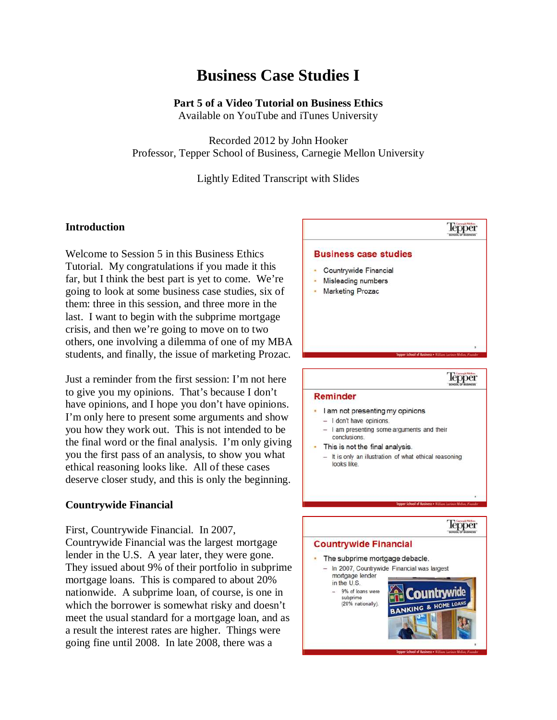## **Business Case Studies I**

## **Part 5 of a Video Tutorial on Business Ethics**

Available on YouTube and iTunes University

Recorded 2012 by John Hooker Professor, Tepper School of Business, Carnegie Mellon University

Lightly Edited Transcript with Slides

### **Introduction**

Welcome to Session 5 in this Business Ethics Tutorial. My congratulations if you made it this far, but I think the best part is yet to come. We're going to look at some business case studies, six of them: three in this session, and three more in the last. I want to begin with the subprime mortgage crisis, and then we're going to move on to two others, one involving a dilemma of one of my MBA students, and finally, the issue of marketing Prozac.

Just a reminder from the first session: I'm not here to give you my opinions. That's because I don't have opinions, and I hope you don't have opinions. I'm only here to present some arguments and show you how they work out. This is not intended to be the final word or the final analysis. I'm only giving you the first pass of an analysis, to show you what ethical reasoning looks like. All of these cases deserve closer study, and this is only the beginning.

#### **Countrywide Financial**

First, Countrywide Financial. In 2007, Countrywide Financial was the largest mortgage lender in the U.S. A year later, they were gone. They issued about 9% of their portfolio in subprime mortgage loans. This is compared to about 20% nationwide. A subprime loan, of course, is one in which the borrower is somewhat risky and doesn't meet the usual standard for a mortgage loan, and as a result the interest rates are higher. Things were going fine until 2008. In late 2008, there was a



- I am not presenting my opinions
- $-$  I don't have opinions.
- I am presenting some arguments and their conclusions.
- This is not the final analysis.
	- It is only an illustration of what ethical reasoning looks like

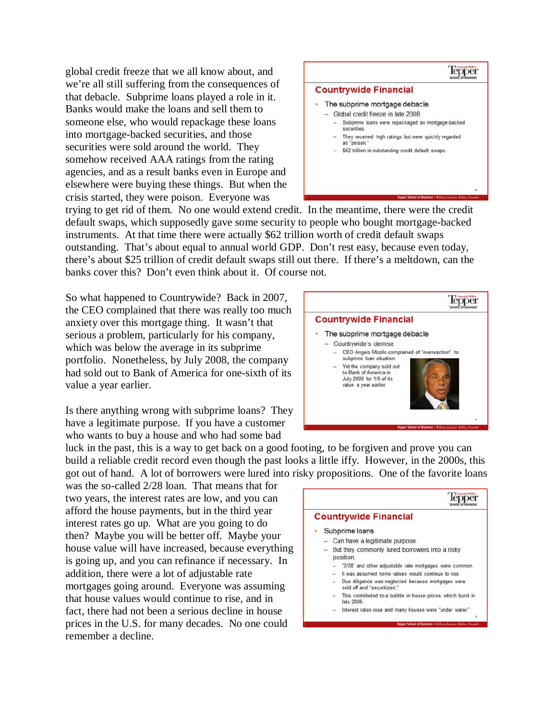global credit freeze that we all know about, and we're all still suffering from the consequences of that debacle. Subprime loans played a role in it. Banks would make the loans and sell them to someone else, who would repackage these loans into mortgage-backed securities, and those securities were sold around the world. They somehow received AAA ratings from the rating agencies, and as a result banks even in Europe and elsewhere were buying these things. But when the crisis started, they were poison. Everyone was

## lepper **Countrywide Financial** The subprime mortgage debacle. - Global credit freeze in late 2008 Subprime loans were repackaged as mortgage-backed securities - They received high ratings but were quickly regarded as "poison. - \$62 trillion in outstanding credit default swaps

trying to get rid of them. No one would extend credit. In the meantime, there were the credit default swaps, which supposedly gave some security to people who bought mortgage-backed instruments. At that time there were actually \$62 trillion worth of credit default swaps outstanding. That's about equal to annual world GDP. Don't rest easy, because even today, there's about \$25 trillion of credit default swaps still out there. If there's a meltdown, can the banks cover this? Don't even think about it. Of course not.

So what happened to Countrywide? Back in 2007, the CEO complained that there was really too much anxiety over this mortgage thing. It wasn't that serious a problem, particularly for his company, which was below the average in its subprime portfolio. Nonetheless, by July 2008, the company had sold out to Bank of America for one-sixth of its value a year earlier.

Is there anything wrong with subprime loans? They have a legitimate purpose. If you have a customer who wants to buy a house and who had some bad



luck in the past, this is a way to get back on a good footing, to be forgiven and prove you can build a reliable credit record even though the past looks a little iffy. However, in the 2000s, this got out of hand. A lot of borrowers were lured into risky propositions. One of the favorite loans

was the so-called 2/28 loan. That means that for two years, the interest rates are low, and you can afford the house payments, but in the third year interest rates go up. What are you going to do then? Maybe you will be better off. Maybe your house value will have increased, because everything is going up, and you can refinance if necessary. In addition, there were a lot of adjustable rate mortgages going around. Everyone was assuming that house values would continue to rise, and in fact, there had not been a serious decline in house prices in the U.S. for many decades. No one could remember a decline.

|  | <b>Countrywide Financial</b>                                                      |
|--|-----------------------------------------------------------------------------------|
|  | Subprime loans                                                                    |
|  | Can have a legitimate purpose.                                                    |
|  | But they commonly lured borrowers into a risky<br>position.                       |
|  | "2/28" and other adjustable rate mortgages were common.                           |
|  | It was assumed home values would continue to rise.                                |
|  | Due diligence was neglected because mortgages were<br>sold off and "securitized." |
|  | This contributed to a bubble in house prices, which burst in<br>late 2006.        |
|  | Interest rates rose and many houses were "under water."                           |
|  | Tepper School of Business . William Larimor Mellon, Finander                      |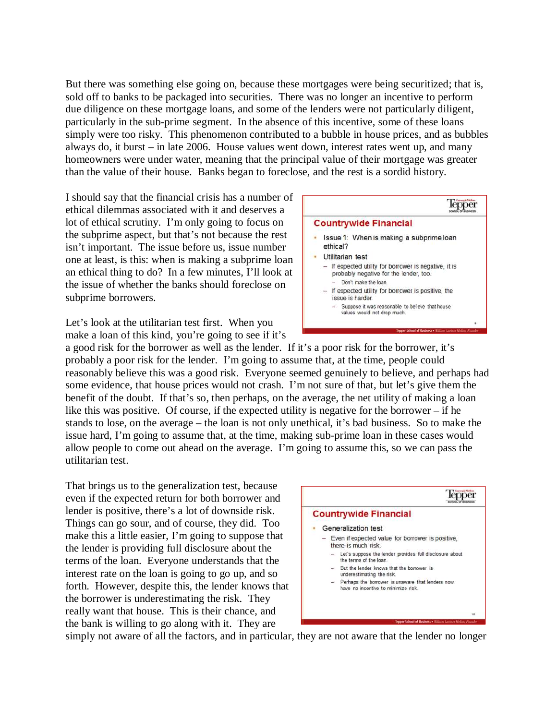But there was something else going on, because these mortgages were being securitized; that is, sold off to banks to be packaged into securities. There was no longer an incentive to perform due diligence on these mortgage loans, and some of the lenders were not particularly diligent, particularly in the sub-prime segment. In the absence of this incentive, some of these loans simply were too risky. This phenomenon contributed to a bubble in house prices, and as bubbles always do, it burst – in late 2006. House values went down, interest rates went up, and many homeowners were under water, meaning that the principal value of their mortgage was greater than the value of their house. Banks began to foreclose, and the rest is a sordid history.

I should say that the financial crisis has a number of ethical dilemmas associated with it and deserves a lot of ethical scrutiny. I'm only going to focus on the subprime aspect, but that's not because the rest isn't important. The issue before us, issue number one at least, is this: when is making a subprime loan an ethical thing to do? In a few minutes, I'll look at the issue of whether the banks should foreclose on subprime borrowers.

Let's look at the utilitarian test first. When you make a loan of this kind, you're going to see if it's

a good risk for the borrower as well as the lender. If it's a poor risk for the borrower, it's probably a poor risk for the lender. I'm going to assume that, at the time, people could reasonably believe this was a good risk. Everyone seemed genuinely to believe, and perhaps had some evidence, that house prices would not crash. I'm not sure of that, but let's give them the benefit of the doubt. If that's so, then perhaps, on the average, the net utility of making a loan like this was positive. Of course, if the expected utility is negative for the borrower – if he stands to lose, on the average – the loan is not only unethical, it's bad business. So to make the issue hard, I'm going to assume that, at the time, making sub-prime loan in these cases would allow people to come out ahead on the average. I'm going to assume this, so we can pass the utilitarian test.

That brings us to the generalization test, because even if the expected return for both borrower and lender is positive, there's a lot of downside risk. Things can go sour, and of course, they did. Too make this a little easier, I'm going to suppose that the lender is providing full disclosure about the terms of the loan. Everyone understands that the interest rate on the loan is going to go up, and so forth. However, despite this, the lender knows that the borrower is underestimating the risk. They really want that house. This is their chance, and the bank is willing to go along with it. They are



simply not aware of all the factors, and in particular, they are not aware that the lender no longer

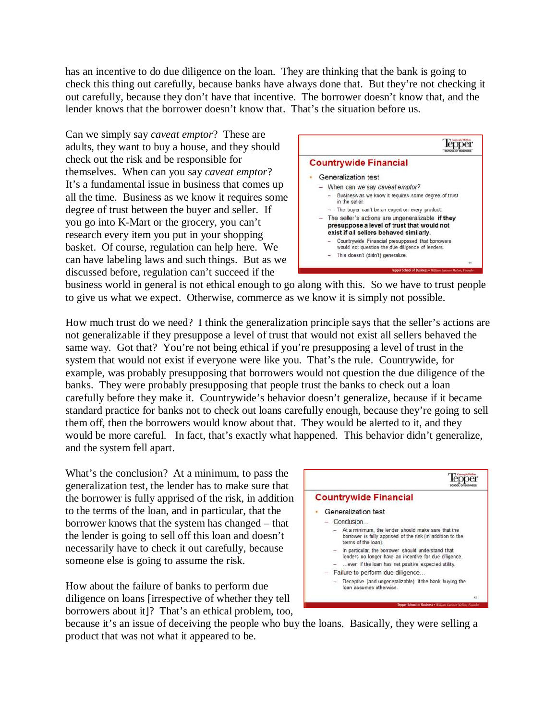has an incentive to do due diligence on the loan. They are thinking that the bank is going to check this thing out carefully, because banks have always done that. But they're not checking it out carefully, because they don't have that incentive. The borrower doesn't know that, and the lender knows that the borrower doesn't know that. That's the situation before us.

Can we simply say *caveat emptor*? These are adults, they want to buy a house, and they should check out the risk and be responsible for themselves. When can you say *caveat emptor*? It's a fundamental issue in business that comes up all the time. Business as we know it requires some degree of trust between the buyer and seller. If you go into K-Mart or the grocery, you can't research every item you put in your shopping basket. Of course, regulation can help here. We can have labeling laws and such things. But as we discussed before, regulation can't succeed if the



business world in general is not ethical enough to go along with this. So we have to trust people to give us what we expect. Otherwise, commerce as we know it is simply not possible.

How much trust do we need? I think the generalization principle says that the seller's actions are not generalizable if they presuppose a level of trust that would not exist all sellers behaved the same way. Got that? You're not being ethical if you're presupposing a level of trust in the system that would not exist if everyone were like you. That's the rule. Countrywide, for example, was probably presupposing that borrowers would not question the due diligence of the banks. They were probably presupposing that people trust the banks to check out a loan carefully before they make it. Countrywide's behavior doesn't generalize, because if it became standard practice for banks not to check out loans carefully enough, because they're going to sell them off, then the borrowers would know about that. They would be alerted to it, and they would be more careful. In fact, that's exactly what happened. This behavior didn't generalize, and the system fell apart.

What's the conclusion? At a minimum, to pass the generalization test, the lender has to make sure that the borrower is fully apprised of the risk, in addition to the terms of the loan, and in particular, that the borrower knows that the system has changed – that the lender is going to sell off this loan and doesn't necessarily have to check it out carefully, because someone else is going to assume the risk.

How about the failure of banks to perform due diligence on loans [irrespective of whether they tell borrowers about it]? That's an ethical problem, too,



because it's an issue of deceiving the people who buy the loans. Basically, they were selling a product that was not what it appeared to be.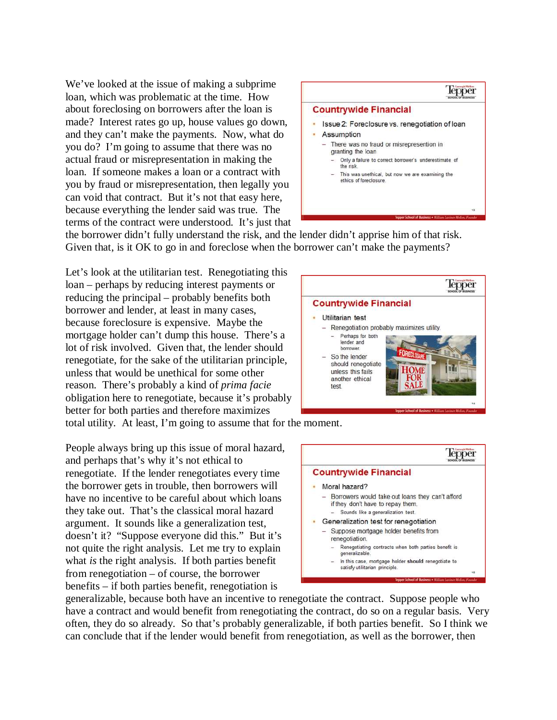We've looked at the issue of making a subprime loan, which was problematic at the time. How about foreclosing on borrowers after the loan is made? Interest rates go up, house values go down, and they can't make the payments. Now, what do you do? I'm going to assume that there was no actual fraud or misrepresentation in making the loan. If someone makes a loan or a contract with you by fraud or misrepresentation, then legally you can void that contract. But it's not that easy here, because everything the lender said was true. The terms of the contract were understood. It's just that



the borrower didn't fully understand the risk, and the lender didn't apprise him of that risk. Given that, is it OK to go in and foreclose when the borrower can't make the payments?

Let's look at the utilitarian test. Renegotiating this loan – perhaps by reducing interest payments or reducing the principal – probably benefits both borrower and lender, at least in many cases, because foreclosure is expensive. Maybe the mortgage holder can't dump this house. There's a lot of risk involved. Given that, the lender should renegotiate, for the sake of the utilitarian principle, unless that would be unethical for some other reason. There's probably a kind of *prima facie* obligation here to renegotiate, because it's probably better for both parties and therefore maximizes total utility. At least, I'm going to assume that for the moment.

People always bring up this issue of moral hazard, and perhaps that's why it's not ethical to renegotiate. If the lender renegotiates every time the borrower gets in trouble, then borrowers will have no incentive to be careful about which loans they take out. That's the classical moral hazard argument. It sounds like a generalization test, doesn't it? "Suppose everyone did this." But it's not quite the right analysis. Let me try to explain what *is* the right analysis. If both parties benefit from renegotiation – of course, the borrower benefits – if both parties benefit, renegotiation is





generalizable, because both have an incentive to renegotiate the contract. Suppose people who have a contract and would benefit from renegotiating the contract, do so on a regular basis. Very often, they do so already. So that's probably generalizable, if both parties benefit. So I think we can conclude that if the lender would benefit from renegotiation, as well as the borrower, then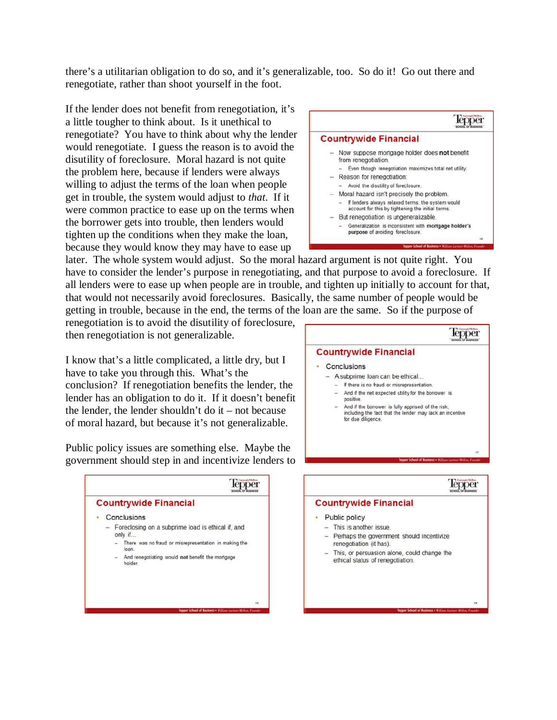there's a utilitarian obligation to do so, and it's generalizable, too. So do it! Go out there and renegotiate, rather than shoot yourself in the foot.

If the lender does not benefit from renegotiation, it's a little tougher to think about. Is it unethical to renegotiate? You have to think about why the lender would renegotiate. I guess the reason is to avoid the disutility of foreclosure. Moral hazard is not quite the problem here, because if lenders were always willing to adjust the terms of the loan when people get in trouble, the system would adjust to *that*. If it were common practice to ease up on the terms when the borrower gets into trouble, then lenders would tighten up the conditions when they make the loan, because they would know they may have to ease up



later. The whole system would adjust. So the moral hazard argument is not quite right. You have to consider the lender's purpose in renegotiating, and that purpose to avoid a foreclosure. If all lenders were to ease up when people are in trouble, and tighten up initially to account for that, that would not necessarily avoid foreclosures. Basically, the same number of people would be getting in trouble, because in the end, the terms of the loan are the same. So if the purpose of

renegotiation is to avoid the disutility of foreclosure, then renegotiation is not generalizable.

I know that's a little complicated, a little dry, but I have to take you through this. What's the conclusion? If renegotiation benefits the lender, the lender has an obligation to do it. If it doesn't benefit the lender, the lender shouldn't do it – not because of moral hazard, but because it's not generalizable.

Public policy issues are something else. Maybe the government should step in and incentivize lenders to





#### • Public policy

- $-$  This is another issue. - Perhaps the government should incentivize
- renegotiation (it has).
- This, or persuasion alone, could change the ethical status of renegotiation.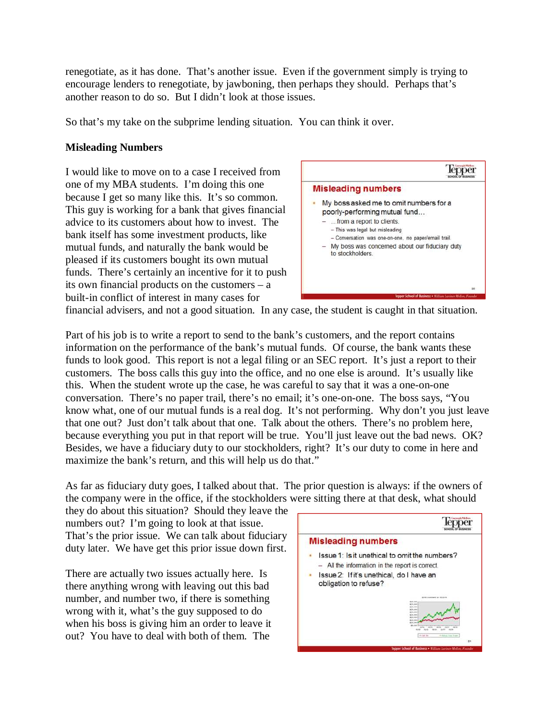renegotiate, as it has done. That's another issue. Even if the government simply is trying to encourage lenders to renegotiate, by jawboning, then perhaps they should. Perhaps that's another reason to do so. But I didn't look at those issues.

So that's my take on the subprime lending situation. You can think it over.

## **Misleading Numbers**

I would like to move on to a case I received from one of my MBA students. I'm doing this one because I get so many like this. It's so common. This guy is working for a bank that gives financial advice to its customers about how to invest. The bank itself has some investment products, like mutual funds, and naturally the bank would be pleased if its customers bought its own mutual funds. There's certainly an incentive for it to push its own financial products on the customers – a built-in conflict of interest in many cases for



financial advisers, and not a good situation. In any case, the student is caught in that situation.

Part of his job is to write a report to send to the bank's customers, and the report contains information on the performance of the bank's mutual funds. Of course, the bank wants these funds to look good. This report is not a legal filing or an SEC report. It's just a report to their customers. The boss calls this guy into the office, and no one else is around. It's usually like this. When the student wrote up the case, he was careful to say that it was a one-on-one conversation. There's no paper trail, there's no email; it's one-on-one. The boss says, "You know what, one of our mutual funds is a real dog. It's not performing. Why don't you just leave that one out? Just don't talk about that one. Talk about the others. There's no problem here, because everything you put in that report will be true. You'll just leave out the bad news. OK? Besides, we have a fiduciary duty to our stockholders, right? It's our duty to come in here and maximize the bank's return, and this will help us do that."

As far as fiduciary duty goes, I talked about that. The prior question is always: if the owners of the company were in the office, if the stockholders were sitting there at that desk, what should

they do about this situation? Should they leave the numbers out? I'm going to look at that issue. That's the prior issue. We can talk about fiduciary duty later. We have get this prior issue down first.

There are actually two issues actually here. Is there anything wrong with leaving out this bad number, and number two, if there is something wrong with it, what's the guy supposed to do when his boss is giving him an order to leave it out? You have to deal with both of them. The

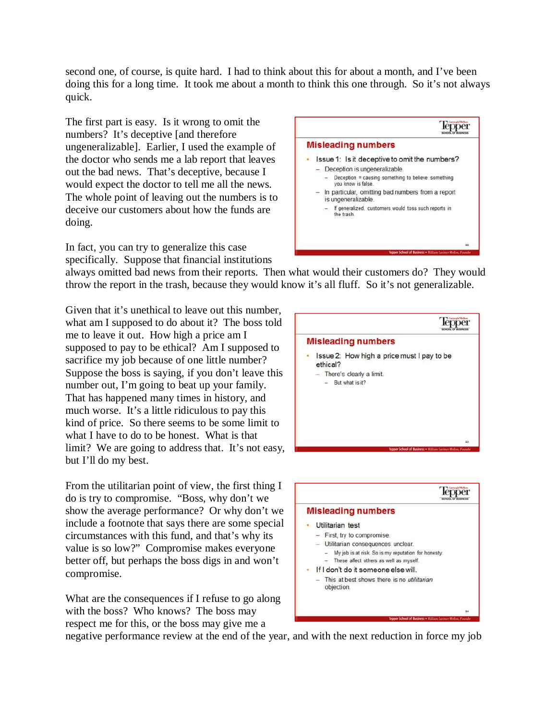second one, of course, is quite hard. I had to think about this for about a month, and I've been doing this for a long time. It took me about a month to think this one through. So it's not always quick.

The first part is easy. Is it wrong to omit the numbers? It's deceptive [and therefore ungeneralizable]. Earlier, I used the example of the doctor who sends me a lab report that leaves out the bad news. That's deceptive, because I would expect the doctor to tell me all the news. The whole point of leaving out the numbers is to deceive our customers about how the funds are doing.

In fact, you can try to generalize this case specifically. Suppose that financial institutions



always omitted bad news from their reports. Then what would their customers do? They would throw the report in the trash, because they would know it's all fluff. So it's not generalizable.

Given that it's unethical to leave out this number, what am I supposed to do about it? The boss told me to leave it out. How high a price am I supposed to pay to be ethical? Am I supposed to sacrifice my job because of one little number? Suppose the boss is saying, if you don't leave this number out, I'm going to beat up your family. That has happened many times in history, and much worse. It's a little ridiculous to pay this kind of price. So there seems to be some limit to what I have to do to be honest. What is that limit? We are going to address that. It's not easy, but I'll do my best.

From the utilitarian point of view, the first thing I do is try to compromise. "Boss, why don't we show the average performance? Or why don't we include a footnote that says there are some special circumstances with this fund, and that's why its value is so low?" Compromise makes everyone better off, but perhaps the boss digs in and won't compromise.

What are the consequences if I refuse to go along with the boss? Who knows? The boss may respect me for this, or the boss may give me a





negative performance review at the end of the year, and with the next reduction in force my job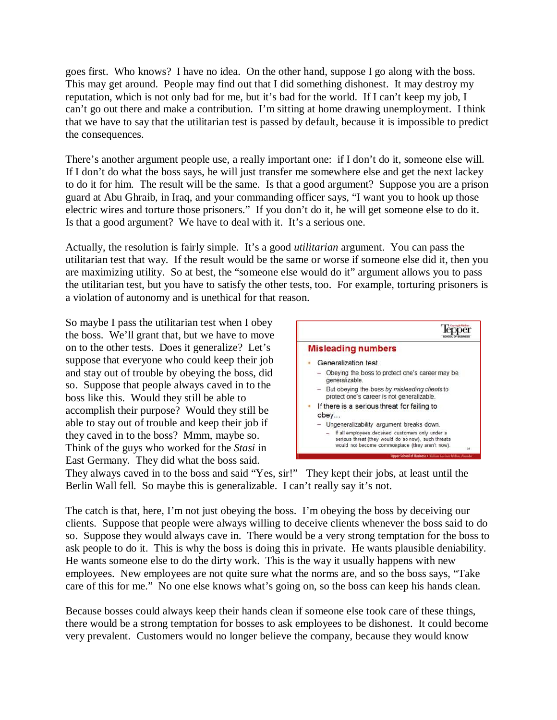goes first. Who knows? I have no idea. On the other hand, suppose I go along with the boss. This may get around. People may find out that I did something dishonest. It may destroy my reputation, which is not only bad for me, but it's bad for the world. If I can't keep my job, I can't go out there and make a contribution. I'm sitting at home drawing unemployment. I think that we have to say that the utilitarian test is passed by default, because it is impossible to predict the consequences.

There's another argument people use, a really important one: if I don't do it, someone else will. If I don't do what the boss says, he will just transfer me somewhere else and get the next lackey to do it for him. The result will be the same. Is that a good argument? Suppose you are a prison guard at Abu Ghraib, in Iraq, and your commanding officer says, "I want you to hook up those electric wires and torture those prisoners." If you don't do it, he will get someone else to do it. Is that a good argument? We have to deal with it. It's a serious one.

Actually, the resolution is fairly simple. It's a good *utilitarian* argument. You can pass the utilitarian test that way. If the result would be the same or worse if someone else did it, then you are maximizing utility. So at best, the "someone else would do it" argument allows you to pass the utilitarian test, but you have to satisfy the other tests, too. For example, torturing prisoners is a violation of autonomy and is unethical for that reason.

So maybe I pass the utilitarian test when I obey the boss. We'll grant that, but we have to move on to the other tests. Does it generalize? Let's suppose that everyone who could keep their job and stay out of trouble by obeying the boss, did so. Suppose that people always caved in to the boss like this. Would they still be able to accomplish their purpose? Would they still be able to stay out of trouble and keep their job if they caved in to the boss? Mmm, maybe so. Think of the guys who worked for the *Stasi* in East Germany. They did what the boss said.



They always caved in to the boss and said "Yes, sir!" They kept their jobs, at least until the Berlin Wall fell. So maybe this is generalizable. I can't really say it's not.

The catch is that, here, I'm not just obeying the boss. I'm obeying the boss by deceiving our clients. Suppose that people were always willing to deceive clients whenever the boss said to do so. Suppose they would always cave in. There would be a very strong temptation for the boss to ask people to do it. This is why the boss is doing this in private. He wants plausible deniability. He wants someone else to do the dirty work. This is the way it usually happens with new employees. New employees are not quite sure what the norms are, and so the boss says, "Take care of this for me." No one else knows what's going on, so the boss can keep his hands clean.

Because bosses could always keep their hands clean if someone else took care of these things, there would be a strong temptation for bosses to ask employees to be dishonest. It could become very prevalent. Customers would no longer believe the company, because they would know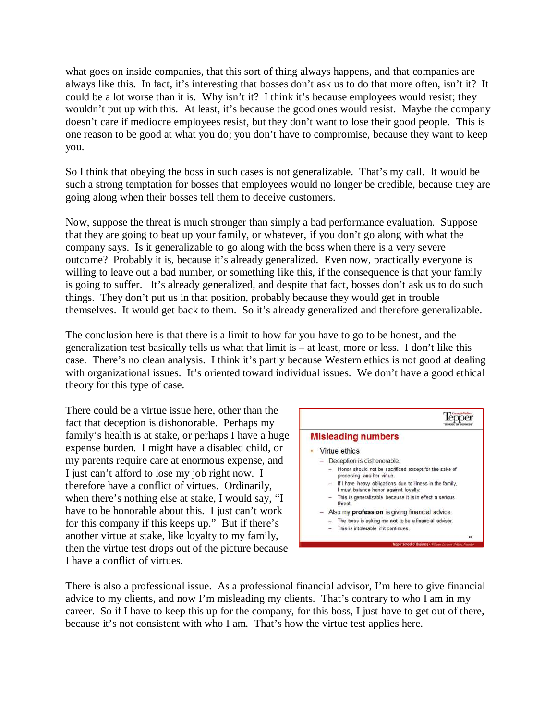what goes on inside companies, that this sort of thing always happens, and that companies are always like this. In fact, it's interesting that bosses don't ask us to do that more often, isn't it? It could be a lot worse than it is. Why isn't it? I think it's because employees would resist; they wouldn't put up with this. At least, it's because the good ones would resist. Maybe the company doesn't care if mediocre employees resist, but they don't want to lose their good people. This is one reason to be good at what you do; you don't have to compromise, because they want to keep you.

So I think that obeying the boss in such cases is not generalizable. That's my call. It would be such a strong temptation for bosses that employees would no longer be credible, because they are going along when their bosses tell them to deceive customers.

Now, suppose the threat is much stronger than simply a bad performance evaluation. Suppose that they are going to beat up your family, or whatever, if you don't go along with what the company says. Is it generalizable to go along with the boss when there is a very severe outcome? Probably it is, because it's already generalized. Even now, practically everyone is willing to leave out a bad number, or something like this, if the consequence is that your family is going to suffer. It's already generalized, and despite that fact, bosses don't ask us to do such things. They don't put us in that position, probably because they would get in trouble themselves. It would get back to them. So it's already generalized and therefore generalizable.

The conclusion here is that there is a limit to how far you have to go to be honest, and the generalization test basically tells us what that limit is – at least, more or less. I don't like this case. There's no clean analysis. I think it's partly because Western ethics is not good at dealing with organizational issues. It's oriented toward individual issues. We don't have a good ethical theory for this type of case.

There could be a virtue issue here, other than the fact that deception is dishonorable. Perhaps my family's health is at stake, or perhaps I have a huge expense burden. I might have a disabled child, or my parents require care at enormous expense, and I just can't afford to lose my job right now. I therefore have a conflict of virtues. Ordinarily, when there's nothing else at stake, I would say, "I have to be honorable about this. I just can't work for this company if this keeps up." But if there's another virtue at stake, like loyalty to my family, then the virtue test drops out of the picture because I have a conflict of virtues.



There is also a professional issue. As a professional financial advisor, I'm here to give financial advice to my clients, and now I'm misleading my clients. That's contrary to who I am in my career. So if I have to keep this up for the company, for this boss, I just have to get out of there, because it's not consistent with who I am. That's how the virtue test applies here.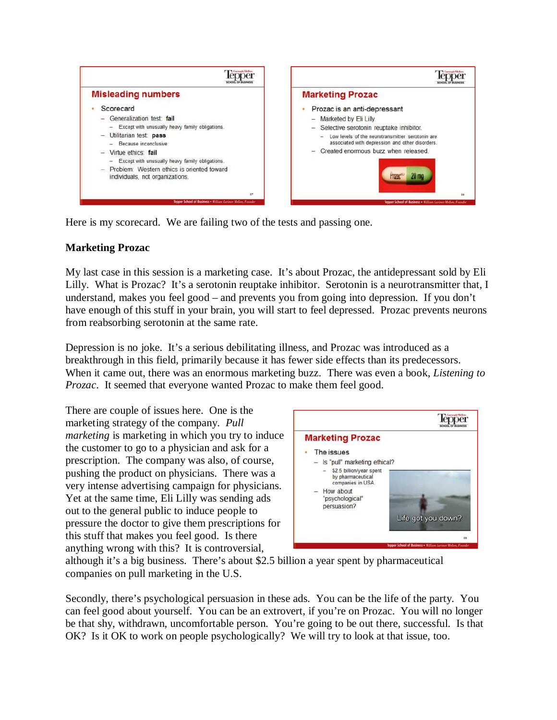

Here is my scorecard. We are failing two of the tests and passing one.

## **Marketing Prozac**

My last case in this session is a marketing case. It's about Prozac, the antidepressant sold by Eli Lilly. What is Prozac? It's a serotonin reuptake inhibitor. Serotonin is a neurotransmitter that, I understand, makes you feel good – and prevents you from going into depression. If you don't have enough of this stuff in your brain, you will start to feel depressed. Prozac prevents neurons from reabsorbing serotonin at the same rate.

Depression is no joke. It's a serious debilitating illness, and Prozac was introduced as a breakthrough in this field, primarily because it has fewer side effects than its predecessors. When it came out, there was an enormous marketing buzz. There was even a book, *Listening to Prozac*. It seemed that everyone wanted Prozac to make them feel good.

There are couple of issues here. One is the marketing strategy of the company. *Pull marketing* is marketing in which you try to induce the customer to go to a physician and ask for a prescription. The company was also, of course, pushing the product on physicians. There was a very intense advertising campaign for physicians. Yet at the same time, Eli Lilly was sending ads out to the general public to induce people to pressure the doctor to give them prescriptions for this stuff that makes you feel good. Is there anything wrong with this? It is controversial,



although it's a big business. There's about \$2.5 billion a year spent by pharmaceutical companies on pull marketing in the U.S.

Secondly, there's psychological persuasion in these ads. You can be the life of the party. You can feel good about yourself. You can be an extrovert, if you're on Prozac. You will no longer be that shy, withdrawn, uncomfortable person. You're going to be out there, successful. Is that OK? Is it OK to work on people psychologically? We will try to look at that issue, too.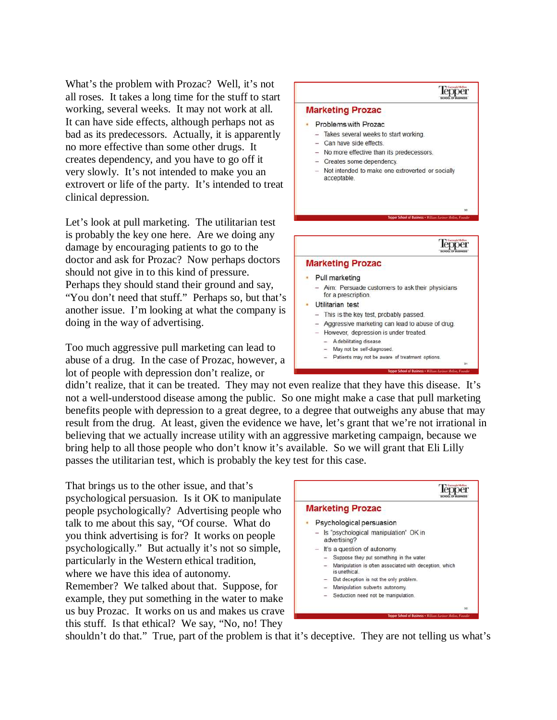What's the problem with Prozac? Well, it's not all roses. It takes a long time for the stuff to start working, several weeks. It may not work at all. It can have side effects, although perhaps not as bad as its predecessors. Actually, it is apparently no more effective than some other drugs. It creates dependency, and you have to go off it very slowly. It's not intended to make you an extrovert or life of the party. It's intended to treat clinical depression.

Let's look at pull marketing. The utilitarian test is probably the key one here. Are we doing any damage by encouraging patients to go to the doctor and ask for Prozac? Now perhaps doctors should not give in to this kind of pressure. Perhaps they should stand their ground and say, "You don't need that stuff." Perhaps so, but that's another issue. I'm looking at what the company is doing in the way of advertising.

Too much aggressive pull marketing can lead to abuse of a drug. In the case of Prozac, however, a lot of people with depression don't realize, or



didn't realize, that it can be treated. They may not even realize that they have this disease. It's not a well-understood disease among the public. So one might make a case that pull marketing benefits people with depression to a great degree, to a degree that outweighs any abuse that may result from the drug. At least, given the evidence we have, let's grant that we're not irrational in believing that we actually increase utility with an aggressive marketing campaign, because we bring help to all those people who don't know it's available. So we will grant that Eli Lilly passes the utilitarian test, which is probably the key test for this case.

That brings us to the other issue, and that's psychological persuasion. Is it OK to manipulate people psychologically? Advertising people who talk to me about this say, "Of course. What do you think advertising is for? It works on people psychologically." But actually it's not so simple, particularly in the Western ethical tradition, where we have this idea of autonomy. Remember? We talked about that. Suppose, for example, they put something in the water to make us buy Prozac. It works on us and makes us crave

this stuff. Is that ethical? We say, "No, no! They



shouldn't do that." True, part of the problem is that it's deceptive. They are not telling us what's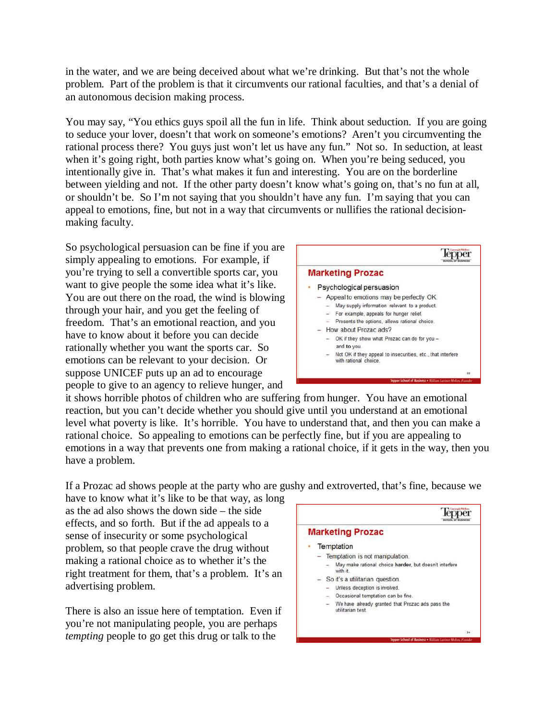in the water, and we are being deceived about what we're drinking. But that's not the whole problem. Part of the problem is that it circumvents our rational faculties, and that's a denial of an autonomous decision making process.

You may say, "You ethics guys spoil all the fun in life. Think about seduction. If you are going to seduce your lover, doesn't that work on someone's emotions? Aren't you circumventing the rational process there? You guys just won't let us have any fun." Not so. In seduction, at least when it's going right, both parties know what's going on. When you're being seduced, you intentionally give in. That's what makes it fun and interesting. You are on the borderline between yielding and not. If the other party doesn't know what's going on, that's no fun at all, or shouldn't be. So I'm not saying that you shouldn't have any fun. I'm saying that you can appeal to emotions, fine, but not in a way that circumvents or nullifies the rational decisionmaking faculty.

So psychological persuasion can be fine if you are simply appealing to emotions. For example, if you're trying to sell a convertible sports car, you want to give people the some idea what it's like. You are out there on the road, the wind is blowing through your hair, and you get the feeling of freedom. That's an emotional reaction, and you have to know about it before you can decide rationally whether you want the sports car. So emotions can be relevant to your decision. Or suppose UNICEF puts up an ad to encourage people to give to an agency to relieve hunger, and



it shows horrible photos of children who are suffering from hunger. You have an emotional reaction, but you can't decide whether you should give until you understand at an emotional level what poverty is like. It's horrible. You have to understand that, and then you can make a rational choice. So appealing to emotions can be perfectly fine, but if you are appealing to emotions in a way that prevents one from making a rational choice, if it gets in the way, then you have a problem.

If a Prozac ad shows people at the party who are gushy and extroverted, that's fine, because we

have to know what it's like to be that way, as long as the ad also shows the down side – the side effects, and so forth. But if the ad appeals to a sense of insecurity or some psychological problem, so that people crave the drug without making a rational choice as to whether it's the right treatment for them, that's a problem. It's an advertising problem.

There is also an issue here of temptation. Even if you're not manipulating people, you are perhaps *tempting* people to go get this drug or talk to the